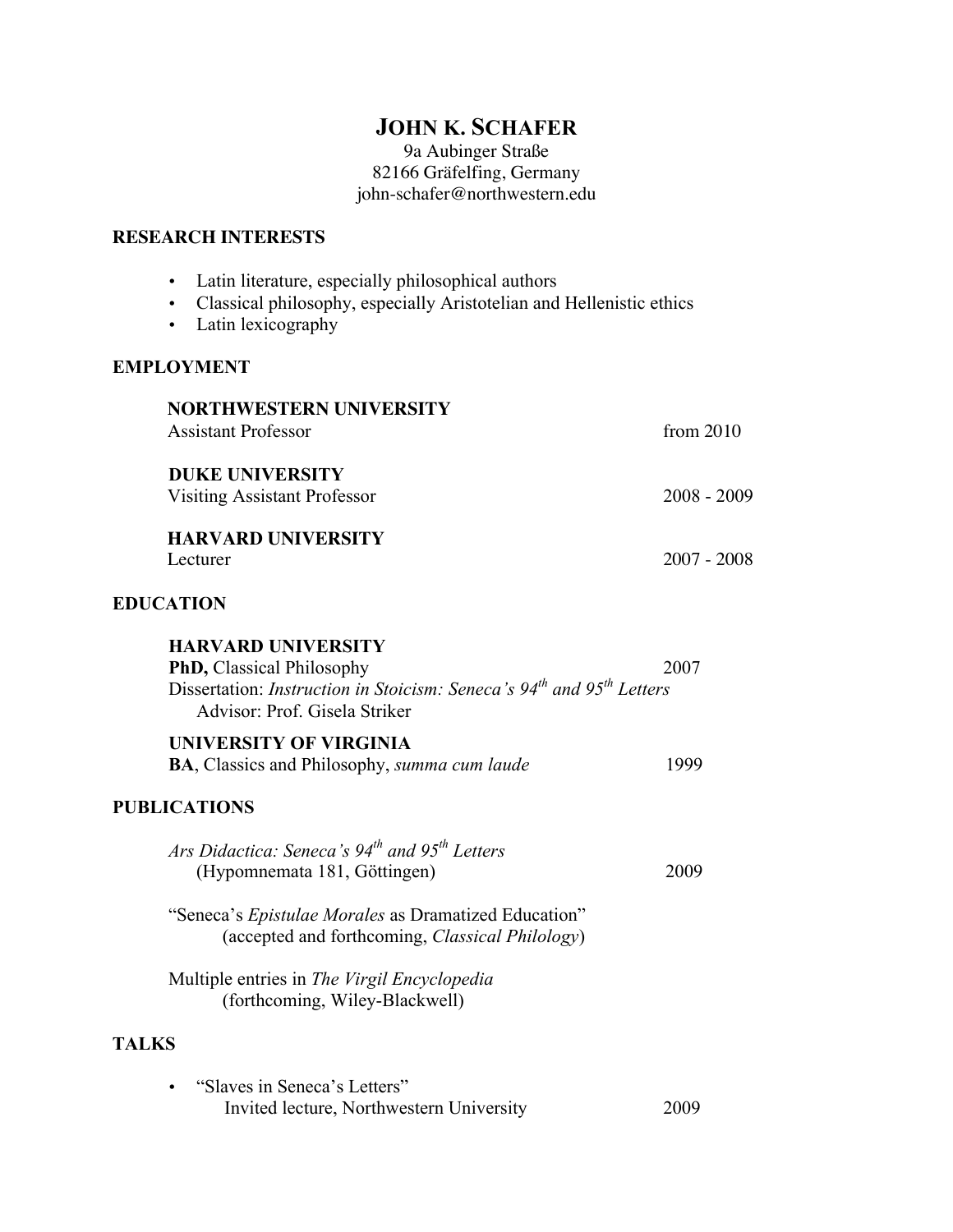## **JOHN K. SCHAFER**

9a Aubinger Straße 82166 Gräfelfing, Germany john-schafer@northwestern.edu

## **RESEARCH INTERESTS**

| Latin literature, especially philosophical authors<br>Classical philosophy, especially Aristotelian and Hellenistic ethics<br>Latin lexicography<br>$\bullet$               |               |
|-----------------------------------------------------------------------------------------------------------------------------------------------------------------------------|---------------|
| <b>EMPLOYMENT</b>                                                                                                                                                           |               |
| <b>NORTHWESTERN UNIVERSITY</b><br><b>Assistant Professor</b>                                                                                                                | from $2010$   |
| <b>DUKE UNIVERSITY</b><br><b>Visiting Assistant Professor</b>                                                                                                               | $2008 - 2009$ |
| <b>HARVARD UNIVERSITY</b><br>Lecturer                                                                                                                                       | $2007 - 2008$ |
| <b>EDUCATION</b>                                                                                                                                                            |               |
| <b>HARVARD UNIVERSITY</b><br>PhD, Classical Philosophy<br>Dissertation: <i>Instruction in Stoicism: Seneca's</i> $94th$ and $95th$ Letters<br>Advisor: Prof. Gisela Striker | 2007          |
| UNIVERSITY OF VIRGINIA<br><b>BA, Classics and Philosophy, <i>summa cum laude</i></b>                                                                                        | 1999          |
| <b>PUBLICATIONS</b>                                                                                                                                                         |               |
| Ars Didactica: Seneca's 94 <sup>th</sup> and 95 <sup>th</sup> Letters<br>(Hypomnemata 181, Göttingen)                                                                       | 2009          |
| "Seneca's Epistulae Morales as Dramatized Education"<br>(accepted and forthcoming, Classical Philology)                                                                     |               |
| Multiple entries in The Virgil Encyclopedia<br>(forthcoming, Wiley-Blackwell)                                                                                               |               |
| <b>TALKS</b>                                                                                                                                                                |               |
| "Slaves in Seneca's Letters"<br>Invited lecture, Northwestern University                                                                                                    | 2009          |